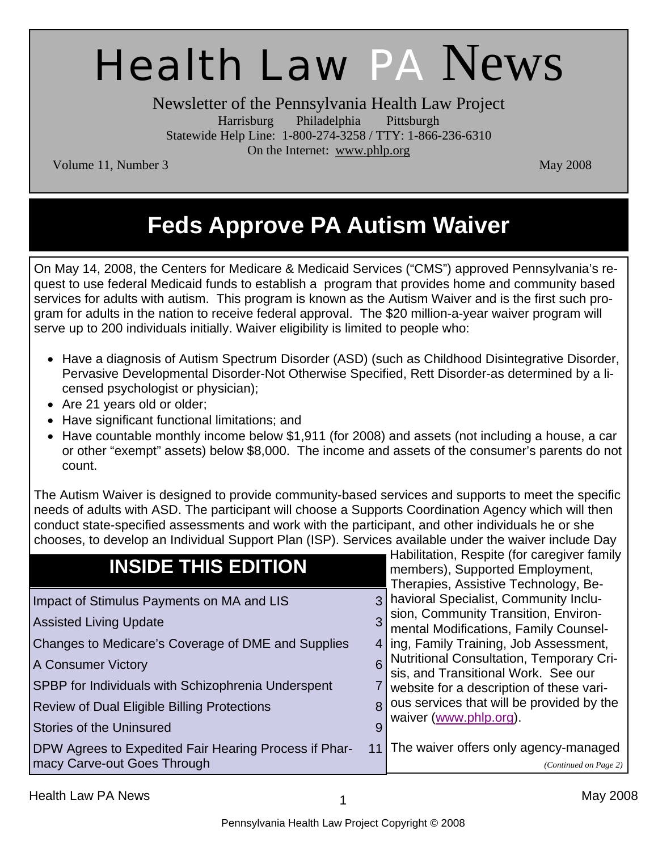# Health Law PA News

Newsletter of the Pennsylvania Health Law Project Harrisburg Philadelphia Pittsburgh Statewide Help Line: 1-800-274-3258 / TTY: 1-866-236-6310 On the Internet: www.phlp.org

Volume 11, Number 3 May 2008

# **Feds Approve PA Autism Waiver**

On May 14, 2008, the Centers for Medicare & Medicaid Services ("CMS") approved Pennsylvania's request to use federal Medicaid funds to establish a program that provides home and community based services for adults with autism. This program is known as the Autism Waiver and is the first such program for adults in the nation to receive federal approval. The \$20 million-a-year waiver program will serve up to 200 individuals initially. Waiver eligibility is limited to people who:

- Have a diagnosis of Autism Spectrum Disorder (ASD) (such as Childhood Disintegrative Disorder, Pervasive Developmental Disorder-Not Otherwise Specified, Rett Disorder-as determined by a licensed psychologist or physician);
- Are 21 years old or older;
- Have significant functional limitations; and
- Have countable monthly income below \$1,911 (for 2008) and assets (not including a house, a car or other "exempt" assets) below \$8,000. The income and assets of the consumer's parents do not count.

The Autism Waiver is designed to provide community-based services and supports to meet the specific needs of adults with ASD. The participant will choose a Supports Coordination Agency which will then conduct state-specified assessments and work with the participant, and other individuals he or she chooses, to develop an Individual Support Plan (ISP). Services available under the waiver include Day

| <b>INSIDE THIS EDITION</b>                                                                                                                                                                                                                                                                     |        | Habilitation, Respite (for caregiver family<br>members), Supported Employment,<br>Therapies, Assistive Technology, Be-                                                                                                                                                                                                                                                   |
|------------------------------------------------------------------------------------------------------------------------------------------------------------------------------------------------------------------------------------------------------------------------------------------------|--------|--------------------------------------------------------------------------------------------------------------------------------------------------------------------------------------------------------------------------------------------------------------------------------------------------------------------------------------------------------------------------|
| Impact of Stimulus Payments on MA and LIS<br><b>Assisted Living Update</b><br>Changes to Medicare's Coverage of DME and Supplies<br>A Consumer Victory<br>SPBP for Individuals with Schizophrenia Underspent<br>Review of Dual Eligible Billing Protections<br><b>Stories of the Uninsured</b> | 3<br>8 | havioral Specialist, Community Inclu-<br>sion, Community Transition, Environ-<br>mental Modifications, Family Counsel-<br>4 ling, Family Training, Job Assessment,<br>Nutritional Consultation, Temporary Cri-<br>sis, and Transitional Work. See our<br>website for a description of these vari-<br>ous services that will be provided by the<br>waiver (www.phlp.org). |
| DPW Agrees to Expedited Fair Hearing Process if Phar-<br>macy Carve-out Goes Through                                                                                                                                                                                                           | 11     | The waiver offers only agency-managed<br>(Continued on Page 2)                                                                                                                                                                                                                                                                                                           |

Health Law PA News 2008 and the state of the state of the state of the May 2008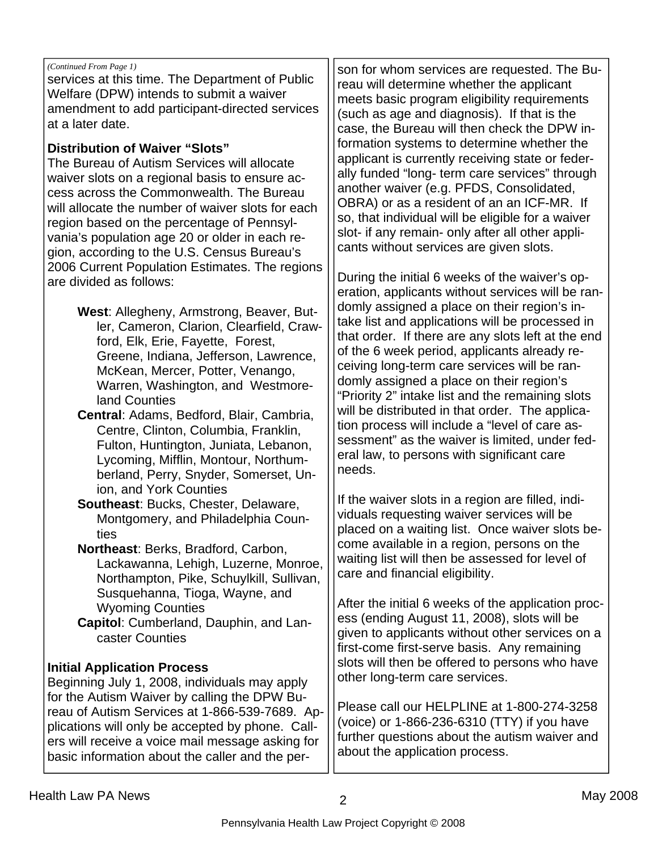#### *(Continued From Page 1)*

services at this time. The Department of Public Welfare (DPW) intends to submit a waiver amendment to add participant-directed services at a later date.

#### **Distribution of Waiver "Slots"**

The Bureau of Autism Services will allocate waiver slots on a regional basis to ensure access across the Commonwealth. The Bureau will allocate the number of waiver slots for each region based on the percentage of Pennsylvania's population age 20 or older in each region, according to the U.S. Census Bureau's 2006 Current Population Estimates. The regions are divided as follows:

> **West**: Allegheny, Armstrong, Beaver, Butler, Cameron, Clarion, Clearfield, Crawford, Elk, Erie, Fayette, Forest, Greene, Indiana, Jefferson, Lawrence, McKean, Mercer, Potter, Venango, Warren, Washington, and Westmoreland Counties

**Central**: Adams, Bedford, Blair, Cambria, Centre, Clinton, Columbia, Franklin, Fulton, Huntington, Juniata, Lebanon, Lycoming, Mifflin, Montour, Northumberland, Perry, Snyder, Somerset, Union, and York Counties

**Southeast**: Bucks, Chester, Delaware, Montgomery, and Philadelphia Counties

**Northeast**: Berks, Bradford, Carbon, Lackawanna, Lehigh, Luzerne, Monroe, Northampton, Pike, Schuylkill, Sullivan, Susquehanna, Tioga, Wayne, and Wyoming Counties

**Capitol**: Cumberland, Dauphin, and Lancaster Counties

#### **Initial Application Process**

Beginning July 1, 2008, individuals may apply for the Autism Waiver by calling the DPW Bureau of Autism Services at 1-866-539-7689. Applications will only be accepted by phone. Callers will receive a voice mail message asking for basic information about the caller and the per-

son for whom services are requested. The Bureau will determine whether the applicant meets basic program eligibility requirements (such as age and diagnosis). If that is the case, the Bureau will then check the DPW information systems to determine whether the applicant is currently receiving state or federally funded "long- term care services" through another waiver (e.g. PFDS, Consolidated, OBRA) or as a resident of an an ICF-MR. If so, that individual will be eligible for a waiver slot- if any remain- only after all other applicants without services are given slots.

During the initial 6 weeks of the waiver's operation, applicants without services will be randomly assigned a place on their region's intake list and applications will be processed in that order. If there are any slots left at the end of the 6 week period, applicants already receiving long-term care services will be randomly assigned a place on their region's "Priority 2" intake list and the remaining slots will be distributed in that order. The application process will include a "level of care assessment" as the waiver is limited, under federal law, to persons with significant care needs.

If the waiver slots in a region are filled, individuals requesting waiver services will be placed on a waiting list. Once waiver slots become available in a region, persons on the waiting list will then be assessed for level of care and financial eligibility.

After the initial 6 weeks of the application process (ending August 11, 2008), slots will be given to applicants without other services on a first-come first-serve basis. Any remaining slots will then be offered to persons who have other long-term care services.

Please call our HELPLINE at 1-800-274-3258 (voice) or 1-866-236-6310 (TTY) if you have further questions about the autism waiver and about the application process.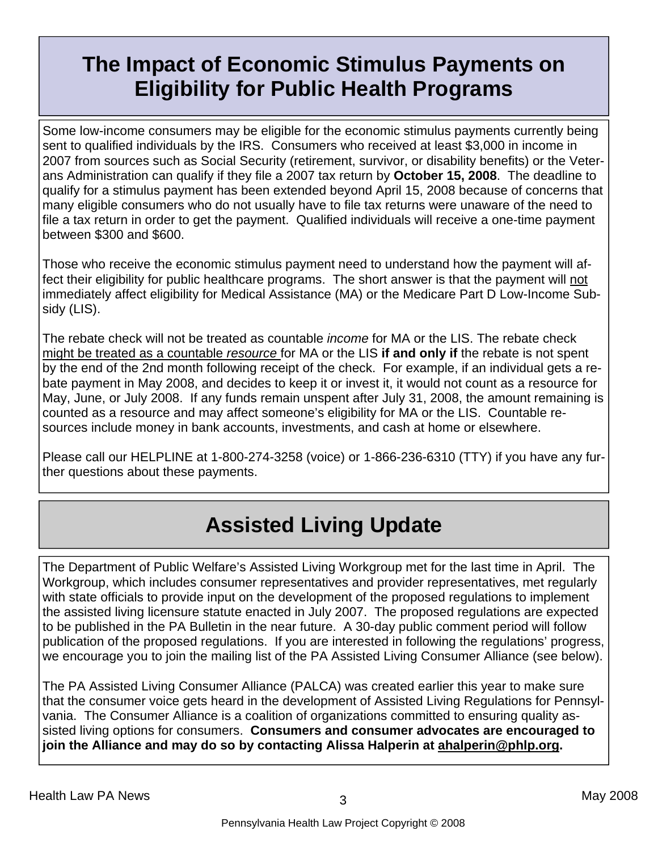# **The Impact of Economic Stimulus Payments on Eligibility for Public Health Programs**

Some low-income consumers may be eligible for the economic stimulus payments currently being sent to qualified individuals by the IRS. Consumers who received at least \$3,000 in income in 2007 from sources such as Social Security (retirement, survivor, or disability benefits) or the Veterans Administration can qualify if they file a 2007 tax return by **October 15, 2008**. The deadline to qualify for a stimulus payment has been extended beyond April 15, 2008 because of concerns that many eligible consumers who do not usually have to file tax returns were unaware of the need to file a tax return in order to get the payment. Qualified individuals will receive a one-time payment between \$300 and \$600.

Those who receive the economic stimulus payment need to understand how the payment will affect their eligibility for public healthcare programs. The short answer is that the payment will not immediately affect eligibility for Medical Assistance (MA) or the Medicare Part D Low-Income Subsidy (LIS).

The rebate check will not be treated as countable *income* for MA or the LIS. The rebate check might be treated as a countable *resource* for MA or the LIS **if and only if** the rebate is not spent by the end of the 2nd month following receipt of the check. For example, if an individual gets a rebate payment in May 2008, and decides to keep it or invest it, it would not count as a resource for May, June, or July 2008. If any funds remain unspent after July 31, 2008, the amount remaining is counted as a resource and may affect someone's eligibility for MA or the LIS. Countable resources include money in bank accounts, investments, and cash at home or elsewhere.

Please call our HELPLINE at 1-800-274-3258 (voice) or 1-866-236-6310 (TTY) if you have any further questions about these payments.

# **Assisted Living Update**

The Department of Public Welfare's Assisted Living Workgroup met for the last time in April. The Workgroup, which includes consumer representatives and provider representatives, met regularly with state officials to provide input on the development of the proposed regulations to implement the assisted living licensure statute enacted in July 2007. The proposed regulations are expected to be published in the PA Bulletin in the near future. A 30-day public comment period will follow publication of the proposed regulations. If you are interested in following the regulations' progress, we encourage you to join the mailing list of the PA Assisted Living Consumer Alliance (see below).

The PA Assisted Living Consumer Alliance (PALCA) was created earlier this year to make sure that the consumer voice gets heard in the development of Assisted Living Regulations for Pennsylvania. The Consumer Alliance is a coalition of organizations committed to ensuring quality assisted living options for consumers. **Consumers and consumer advocates are encouraged to join the Alliance and may do so by contacting Alissa Halperin at ahalperin@phlp.org.**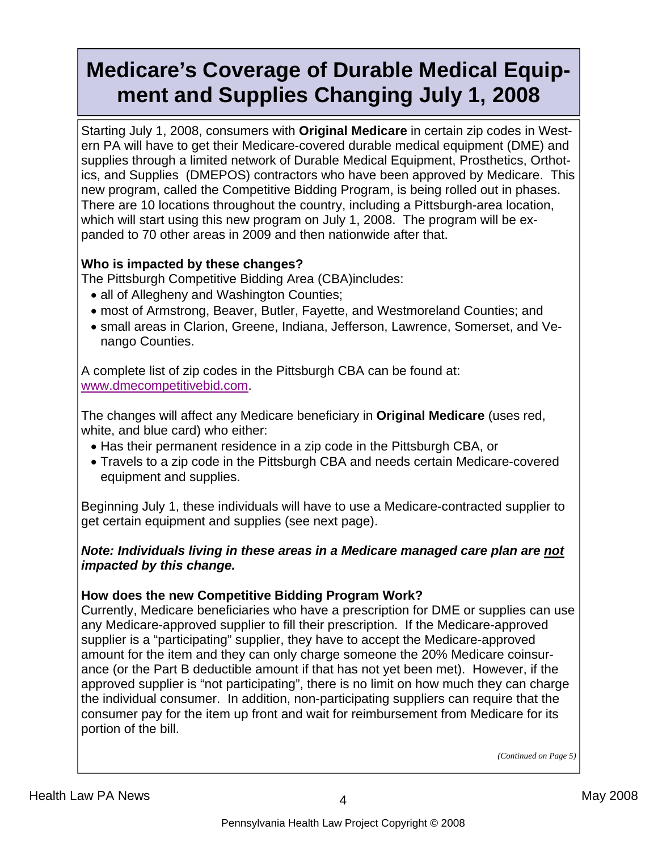# **Medicare's Coverage of Durable Medical Equipment and Supplies Changing July 1, 2008**

Starting July 1, 2008, consumers with **Original Medicare** in certain zip codes in Western PA will have to get their Medicare-covered durable medical equipment (DME) and supplies through a limited network of Durable Medical Equipment, Prosthetics, Orthotics, and Supplies (DMEPOS) contractors who have been approved by Medicare. This new program, called the Competitive Bidding Program, is being rolled out in phases. There are 10 locations throughout the country, including a Pittsburgh-area location, which will start using this new program on July 1, 2008. The program will be expanded to 70 other areas in 2009 and then nationwide after that.

### **Who is impacted by these changes?**

The Pittsburgh Competitive Bidding Area (CBA)includes:

- all of Allegheny and Washington Counties;
- most of Armstrong, Beaver, Butler, Fayette, and Westmoreland Counties; and
- small areas in Clarion, Greene, Indiana, Jefferson, Lawrence, Somerset, and Venango Counties.

A complete list of zip codes in the Pittsburgh CBA can be found at: www.dmecompetitivebid.com.

The changes will affect any Medicare beneficiary in **Original Medicare** (uses red, white, and blue card) who either:

- Has their permanent residence in a zip code in the Pittsburgh CBA, or
- Travels to a zip code in the Pittsburgh CBA and needs certain Medicare-covered equipment and supplies.

Beginning July 1, these individuals will have to use a Medicare-contracted supplier to get certain equipment and supplies (see next page).

### *Note: Individuals living in these areas in a Medicare managed care plan are not impacted by this change.*

### **How does the new Competitive Bidding Program Work?**

Currently, Medicare beneficiaries who have a prescription for DME or supplies can use any Medicare-approved supplier to fill their prescription. If the Medicare-approved supplier is a "participating" supplier, they have to accept the Medicare-approved amount for the item and they can only charge someone the 20% Medicare coinsurance (or the Part B deductible amount if that has not yet been met). However, if the approved supplier is "not participating", there is no limit on how much they can charge the individual consumer. In addition, non-participating suppliers can require that the consumer pay for the item up front and wait for reimbursement from Medicare for its portion of the bill.

*(Continued on Page 5)*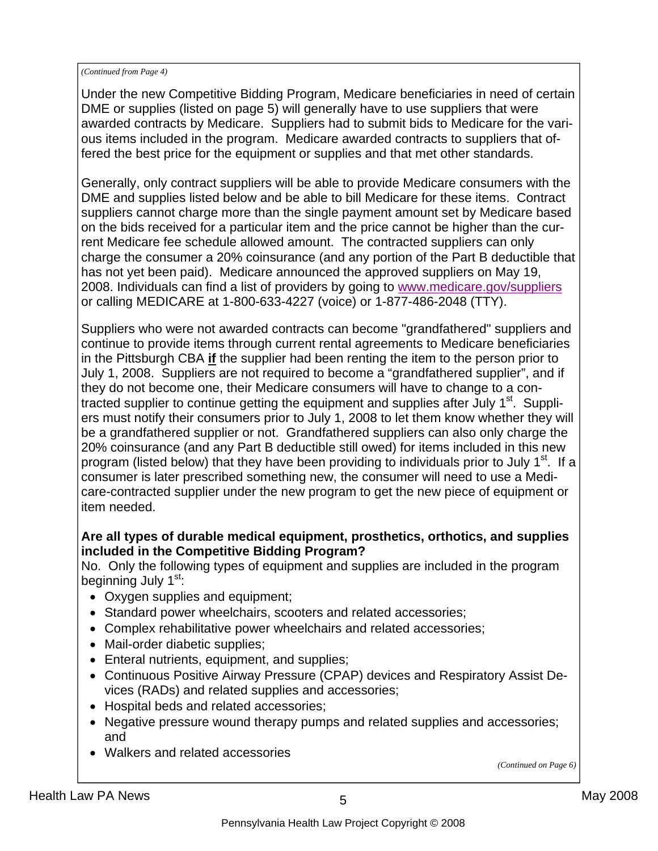#### *(Continued from Page 4)*

Under the new Competitive Bidding Program, Medicare beneficiaries in need of certain DME or supplies (listed on page 5) will generally have to use suppliers that were awarded contracts by Medicare. Suppliers had to submit bids to Medicare for the various items included in the program. Medicare awarded contracts to suppliers that offered the best price for the equipment or supplies and that met other standards.

Generally, only contract suppliers will be able to provide Medicare consumers with the DME and supplies listed below and be able to bill Medicare for these items. Contract suppliers cannot charge more than the single payment amount set by Medicare based on the bids received for a particular item and the price cannot be higher than the current Medicare fee schedule allowed amount. The contracted suppliers can only charge the consumer a 20% coinsurance (and any portion of the Part B deductible that has not yet been paid). Medicare announced the approved suppliers on May 19, 2008. Individuals can find a list of providers by going to www.medicare.gov/suppliers or calling MEDICARE at 1-800-633-4227 (voice) or 1-877-486-2048 (TTY).

Suppliers who were not awarded contracts can become "grandfathered" suppliers and continue to provide items through current rental agreements to Medicare beneficiaries in the Pittsburgh CBA **if** the supplier had been renting the item to the person prior to July 1, 2008. Suppliers are not required to become a "grandfathered supplier", and if they do not become one, their Medicare consumers will have to change to a contracted supplier to continue getting the equipment and supplies after July 1<sup>st</sup>. Suppliers must notify their consumers prior to July 1, 2008 to let them know whether they will be a grandfathered supplier or not. Grandfathered suppliers can also only charge the 20% coinsurance (and any Part B deductible still owed) for items included in this new program (listed below) that they have been providing to individuals prior to July  $1<sup>st</sup>$ . If a consumer is later prescribed something new, the consumer will need to use a Medicare-contracted supplier under the new program to get the new piece of equipment or item needed.

#### **Are all types of durable medical equipment, prosthetics, orthotics, and supplies included in the Competitive Bidding Program?**

No. Only the following types of equipment and supplies are included in the program beginning July 1<sup>st</sup>:

- Oxygen supplies and equipment;
- Standard power wheelchairs, scooters and related accessories;
- Complex rehabilitative power wheelchairs and related accessories;
- Mail-order diabetic supplies;
- Enteral nutrients, equipment, and supplies;
- Continuous Positive Airway Pressure (CPAP) devices and Respiratory Assist Devices (RADs) and related supplies and accessories;
- Hospital beds and related accessories;
- Negative pressure wound therapy pumps and related supplies and accessories; and
- Walkers and related accessories

*(Continued on Page 6)*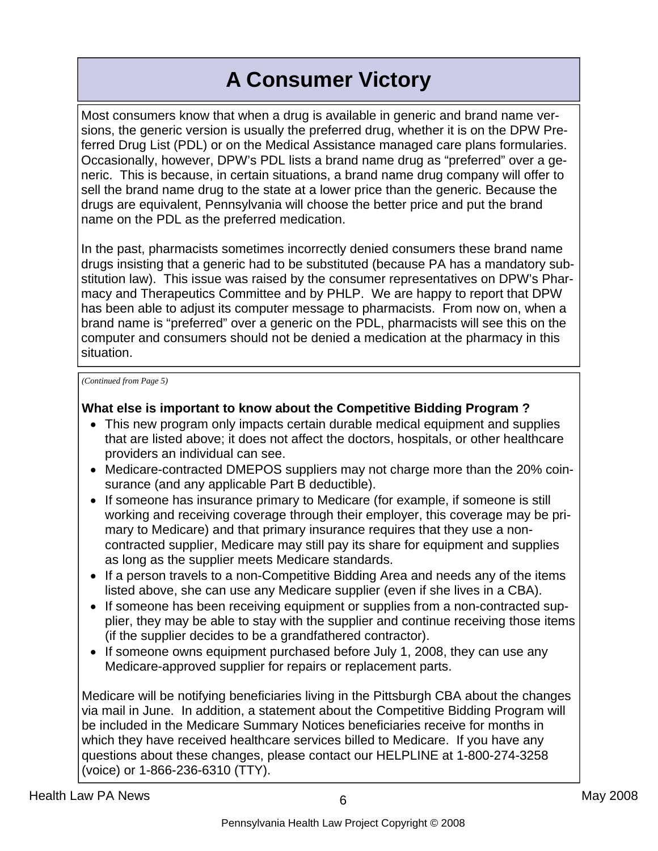# **A Consumer Victory**

Most consumers know that when a drug is available in generic and brand name versions, the generic version is usually the preferred drug, whether it is on the DPW Preferred Drug List (PDL) or on the Medical Assistance managed care plans formularies. Occasionally, however, DPW's PDL lists a brand name drug as "preferred" over a generic. This is because, in certain situations, a brand name drug company will offer to sell the brand name drug to the state at a lower price than the generic. Because the drugs are equivalent, Pennsylvania will choose the better price and put the brand name on the PDL as the preferred medication.

In the past, pharmacists sometimes incorrectly denied consumers these brand name drugs insisting that a generic had to be substituted (because PA has a mandatory substitution law). This issue was raised by the consumer representatives on DPW's Pharmacy and Therapeutics Committee and by PHLP. We are happy to report that DPW has been able to adjust its computer message to pharmacists. From now on, when a brand name is "preferred" over a generic on the PDL, pharmacists will see this on the computer and consumers should not be denied a medication at the pharmacy in this situation.

*(Continued from Page 5)* 

#### **What else is important to know about the Competitive Bidding Program ?**

- This new program only impacts certain durable medical equipment and supplies that are listed above; it does not affect the doctors, hospitals, or other healthcare providers an individual can see.
- Medicare-contracted DMEPOS suppliers may not charge more than the 20% coinsurance (and any applicable Part B deductible).
- If someone has insurance primary to Medicare (for example, if someone is still working and receiving coverage through their employer, this coverage may be primary to Medicare) and that primary insurance requires that they use a noncontracted supplier, Medicare may still pay its share for equipment and supplies as long as the supplier meets Medicare standards.
- If a person travels to a non-Competitive Bidding Area and needs any of the items listed above, she can use any Medicare supplier (even if she lives in a CBA).
- If someone has been receiving equipment or supplies from a non-contracted supplier, they may be able to stay with the supplier and continue receiving those items (if the supplier decides to be a grandfathered contractor).
- If someone owns equipment purchased before July 1, 2008, they can use any Medicare-approved supplier for repairs or replacement parts.

Medicare will be notifying beneficiaries living in the Pittsburgh CBA about the changes via mail in June. In addition, a statement about the Competitive Bidding Program will be included in the Medicare Summary Notices beneficiaries receive for months in which they have received healthcare services billed to Medicare. If you have any questions about these changes, please contact our HELPLINE at 1-800-274-3258 (voice) or 1-866-236-6310 (TTY).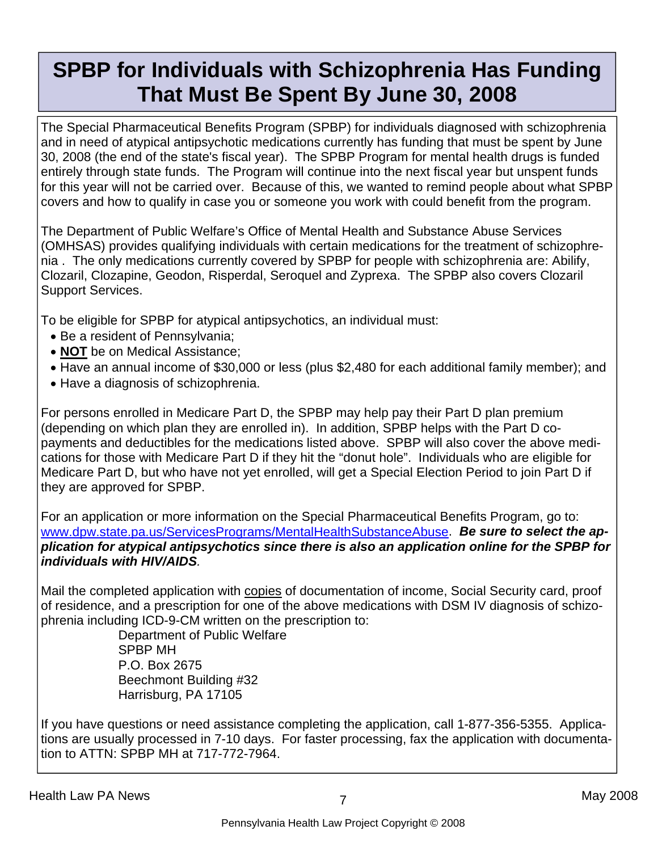# **SPBP for Individuals with Schizophrenia Has Funding That Must Be Spent By June 30, 2008**

The Special Pharmaceutical Benefits Program (SPBP) for individuals diagnosed with schizophrenia and in need of atypical antipsychotic medications currently has funding that must be spent by June 30, 2008 (the end of the state's fiscal year). The SPBP Program for mental health drugs is funded entirely through state funds. The Program will continue into the next fiscal year but unspent funds for this year will not be carried over. Because of this, we wanted to remind people about what SPBP covers and how to qualify in case you or someone you work with could benefit from the program.

The Department of Public Welfare's Office of Mental Health and Substance Abuse Services (OMHSAS) provides qualifying individuals with certain medications for the treatment of schizophrenia . The only medications currently covered by SPBP for people with schizophrenia are: Abilify, Clozaril, Clozapine, Geodon, Risperdal, Seroquel and Zyprexa. The SPBP also covers Clozaril Support Services.

To be eligible for SPBP for atypical antipsychotics, an individual must:

- Be a resident of Pennsylvania;
- **NOT** be on Medical Assistance;
- Have an annual income of \$30,000 or less (plus \$2,480 for each additional family member); and
- Have a diagnosis of schizophrenia.

For persons enrolled in Medicare Part D, the SPBP may help pay their Part D plan premium (depending on which plan they are enrolled in). In addition, SPBP helps with the Part D copayments and deductibles for the medications listed above. SPBP will also cover the above medications for those with Medicare Part D if they hit the "donut hole". Individuals who are eligible for Medicare Part D, but who have not yet enrolled, will get a Special Election Period to join Part D if they are approved for SPBP.

For an application or more information on the Special Pharmaceutical Benefits Program, go to: www.dpw.state.pa.us/ServicesPrograms/MentalHealthSubstanceAbuse. *Be sure to select the application for atypical antipsychotics since there is also an application online for the SPBP for individuals with HIV/AIDS.*

Mail the completed application with copies of documentation of income, Social Security card, proof of residence, and a prescription for one of the above medications with DSM IV diagnosis of schizophrenia including ICD-9-CM written on the prescription to:

 Department of Public Welfare SPBP MH P.O. Box 2675 Beechmont Building #32 Harrisburg, PA 17105

If you have questions or need assistance completing the application, call 1-877-356-5355. Applications are usually processed in 7-10 days. For faster processing, fax the application with documentation to ATTN: SPBP MH at 717-772-7964.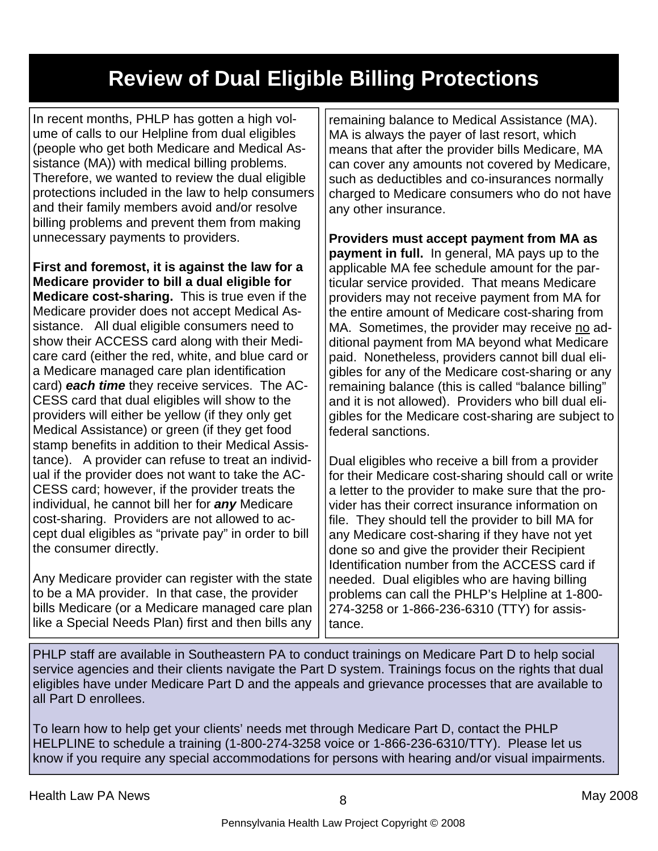# **Review of Dual Eligible Billing Protections**

In recent months, PHLP has gotten a high volume of calls to our Helpline from dual eligibles (people who get both Medicare and Medical Assistance (MA)) with medical billing problems. Therefore, we wanted to review the dual eligible protections included in the law to help consumers and their family members avoid and/or resolve billing problems and prevent them from making unnecessary payments to providers.

**First and foremost, it is against the law for a Medicare provider to bill a dual eligible for Medicare cost-sharing.** This is true even if the Medicare provider does not accept Medical Assistance. All dual eligible consumers need to show their ACCESS card along with their Medicare card (either the red, white, and blue card or a Medicare managed care plan identification card) *each time* they receive services. The AC-CESS card that dual eligibles will show to the providers will either be yellow (if they only get Medical Assistance) or green (if they get food stamp benefits in addition to their Medical Assistance). A provider can refuse to treat an individual if the provider does not want to take the AC-CESS card; however, if the provider treats the individual, he cannot bill her for *any* Medicare cost-sharing. Providers are not allowed to accept dual eligibles as "private pay" in order to bill the consumer directly.

Any Medicare provider can register with the state to be a MA provider. In that case, the provider bills Medicare (or a Medicare managed care plan like a Special Needs Plan) first and then bills any

remaining balance to Medical Assistance (MA). MA is always the payer of last resort, which means that after the provider bills Medicare, MA can cover any amounts not covered by Medicare, such as deductibles and co-insurances normally charged to Medicare consumers who do not have any other insurance.

**Providers must accept payment from MA as payment in full.** In general, MA pays up to the applicable MA fee schedule amount for the particular service provided. That means Medicare providers may not receive payment from MA for the entire amount of Medicare cost-sharing from MA. Sometimes, the provider may receive no additional payment from MA beyond what Medicare paid. Nonetheless, providers cannot bill dual eligibles for any of the Medicare cost-sharing or any remaining balance (this is called "balance billing" and it is not allowed). Providers who bill dual eligibles for the Medicare cost-sharing are subject to federal sanctions.

Dual eligibles who receive a bill from a provider for their Medicare cost-sharing should call or write a letter to the provider to make sure that the provider has their correct insurance information on file. They should tell the provider to bill MA for any Medicare cost-sharing if they have not yet done so and give the provider their Recipient Identification number from the ACCESS card if needed. Dual eligibles who are having billing problems can call the PHLP's Helpline at 1-800- 274-3258 or 1-866-236-6310 (TTY) for assistance.

PHLP staff are available in Southeastern PA to conduct trainings on Medicare Part D to help social service agencies and their clients navigate the Part D system. Trainings focus on the rights that dual eligibles have under Medicare Part D and the appeals and grievance processes that are available to all Part D enrollees.

To learn how to help get your clients' needs met through Medicare Part D, contact the PHLP HELPLINE to schedule a training (1-800-274-3258 voice or 1-866-236-6310/TTY). Please let us know if you require any special accommodations for persons with hearing and/or visual impairments.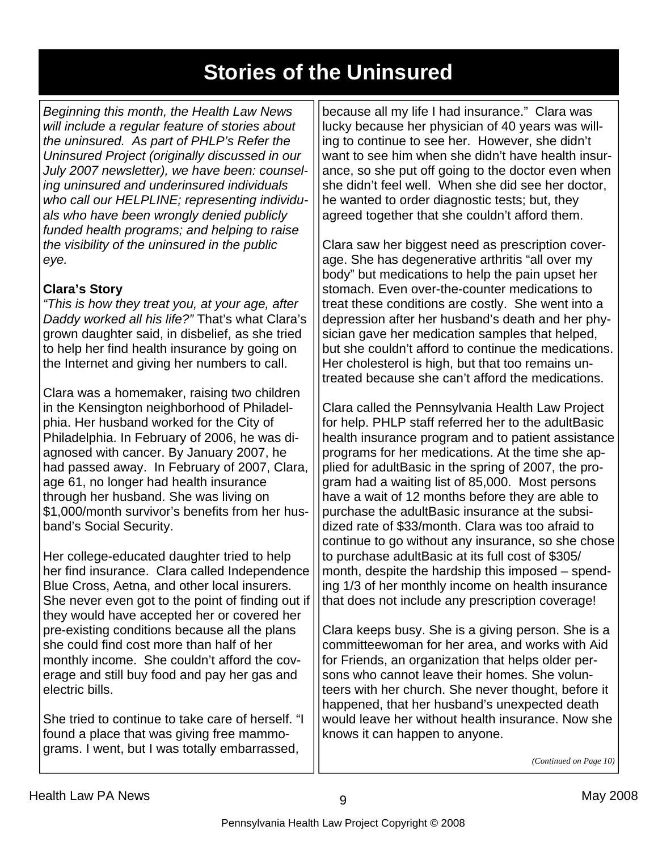# **Stories of the Uninsured**

*Beginning this month, the Health Law News will include a regular feature of stories about the uninsured. As part of PHLP's Refer the Uninsured Project (originally discussed in our July 2007 newsletter), we have been: counseling uninsured and underinsured individuals who call our HELPLINE; representing individuals who have been wrongly denied publicly funded health programs; and helping to raise the visibility of the uninsured in the public eye.* 

### **Clara's Story**

*"This is how they treat you, at your age, after Daddy worked all his life?"* That's what Clara's grown daughter said, in disbelief, as she tried to help her find health insurance by going on the Internet and giving her numbers to call.

Clara was a homemaker, raising two children in the Kensington neighborhood of Philadelphia. Her husband worked for the City of Philadelphia. In February of 2006, he was diagnosed with cancer. By January 2007, he had passed away. In February of 2007, Clara, age 61, no longer had health insurance through her husband. She was living on \$1,000/month survivor's benefits from her husband's Social Security.

Her college-educated daughter tried to help her find insurance. Clara called Independence Blue Cross, Aetna, and other local insurers. She never even got to the point of finding out if they would have accepted her or covered her pre-existing conditions because all the plans she could find cost more than half of her monthly income. She couldn't afford the coverage and still buy food and pay her gas and electric bills.

She tried to continue to take care of herself. "I found a place that was giving free mammograms. I went, but I was totally embarrassed,

because all my life I had insurance." Clara was lucky because her physician of 40 years was willing to continue to see her. However, she didn't want to see him when she didn't have health insurance, so she put off going to the doctor even when she didn't feel well. When she did see her doctor, he wanted to order diagnostic tests; but, they agreed together that she couldn't afford them.

Clara saw her biggest need as prescription coverage. She has degenerative arthritis "all over my body" but medications to help the pain upset her stomach. Even over-the-counter medications to treat these conditions are costly. She went into a depression after her husband's death and her physician gave her medication samples that helped, but she couldn't afford to continue the medications. Her cholesterol is high, but that too remains untreated because she can't afford the medications.

Clara called the Pennsylvania Health Law Project for help. PHLP staff referred her to the adultBasic health insurance program and to patient assistance programs for her medications. At the time she applied for adultBasic in the spring of 2007, the program had a waiting list of 85,000. Most persons have a wait of 12 months before they are able to purchase the adultBasic insurance at the subsidized rate of \$33/month. Clara was too afraid to continue to go without any insurance, so she chose to purchase adultBasic at its full cost of \$305/ month, despite the hardship this imposed – spending 1/3 of her monthly income on health insurance that does not include any prescription coverage!

Clara keeps busy. She is a giving person. She is a committeewoman for her area, and works with Aid for Friends, an organization that helps older persons who cannot leave their homes. She volunteers with her church. She never thought, before it happened, that her husband's unexpected death would leave her without health insurance. Now she knows it can happen to anyone.

*(Continued on Page 10)*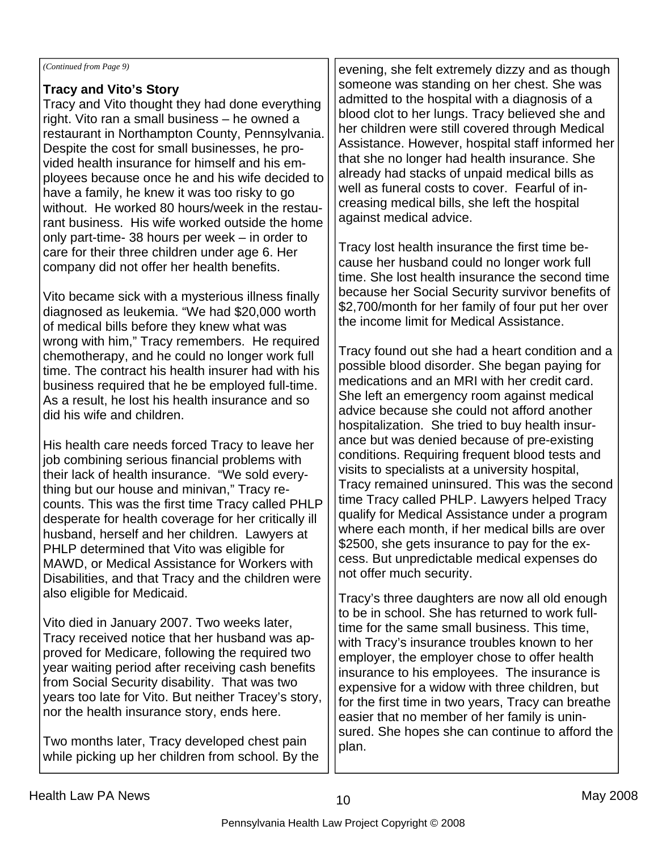#### *(Continued from Page 9)*

### **Tracy and Vito's Story**

Tracy and Vito thought they had done everything right. Vito ran a small business – he owned a restaurant in Northampton County, Pennsylvania. Despite the cost for small businesses, he provided health insurance for himself and his employees because once he and his wife decided to have a family, he knew it was too risky to go without. He worked 80 hours/week in the restaurant business. His wife worked outside the home only part-time- 38 hours per week – in order to care for their three children under age 6. Her company did not offer her health benefits.

Vito became sick with a mysterious illness finally diagnosed as leukemia. "We had \$20,000 worth of medical bills before they knew what was wrong with him," Tracy remembers. He required chemotherapy, and he could no longer work full time. The contract his health insurer had with his business required that he be employed full-time. As a result, he lost his health insurance and so did his wife and children.

His health care needs forced Tracy to leave her job combining serious financial problems with their lack of health insurance. "We sold everything but our house and minivan," Tracy recounts. This was the first time Tracy called PHLP desperate for health coverage for her critically ill husband, herself and her children. Lawyers at PHLP determined that Vito was eligible for MAWD, or Medical Assistance for Workers with Disabilities, and that Tracy and the children were also eligible for Medicaid.

Vito died in January 2007. Two weeks later, Tracy received notice that her husband was approved for Medicare, following the required two year waiting period after receiving cash benefits from Social Security disability. That was two years too late for Vito. But neither Tracey's story, nor the health insurance story, ends here.

Two months later, Tracy developed chest pain while picking up her children from school. By the

evening, she felt extremely dizzy and as though someone was standing on her chest. She was admitted to the hospital with a diagnosis of a blood clot to her lungs. Tracy believed she and her children were still covered through Medical Assistance. However, hospital staff informed her that she no longer had health insurance. She already had stacks of unpaid medical bills as well as funeral costs to cover. Fearful of increasing medical bills, she left the hospital against medical advice.

Tracy lost health insurance the first time because her husband could no longer work full time. She lost health insurance the second time because her Social Security survivor benefits of \$2,700/month for her family of four put her over the income limit for Medical Assistance.

Tracy found out she had a heart condition and a possible blood disorder. She began paying for medications and an MRI with her credit card. She left an emergency room against medical advice because she could not afford another hospitalization. She tried to buy health insurance but was denied because of pre-existing conditions. Requiring frequent blood tests and visits to specialists at a university hospital, Tracy remained uninsured. This was the second time Tracy called PHLP. Lawyers helped Tracy qualify for Medical Assistance under a program where each month, if her medical bills are over \$2500, she gets insurance to pay for the excess. But unpredictable medical expenses do not offer much security.

Tracy's three daughters are now all old enough to be in school. She has returned to work fulltime for the same small business. This time, with Tracy's insurance troubles known to her employer, the employer chose to offer health insurance to his employees. The insurance is expensive for a widow with three children, but for the first time in two years, Tracy can breathe easier that no member of her family is uninsured. She hopes she can continue to afford the plan.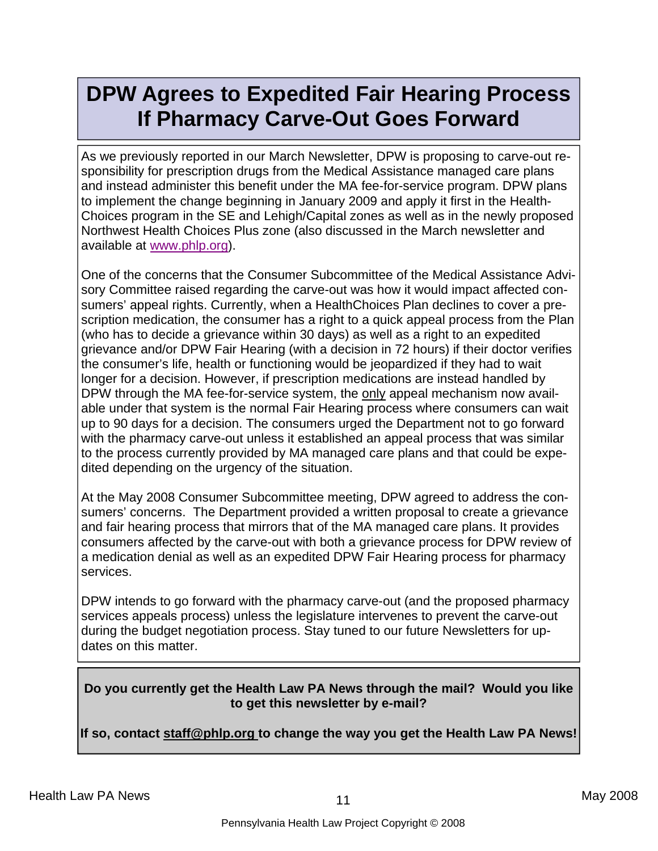# **DPW Agrees to Expedited Fair Hearing Process If Pharmacy Carve-Out Goes Forward**

As we previously reported in our March Newsletter, DPW is proposing to carve-out responsibility for prescription drugs from the Medical Assistance managed care plans and instead administer this benefit under the MA fee-for-service program. DPW plans to implement the change beginning in January 2009 and apply it first in the Health-Choices program in the SE and Lehigh/Capital zones as well as in the newly proposed Northwest Health Choices Plus zone (also discussed in the March newsletter and available at www.phlp.org).

One of the concerns that the Consumer Subcommittee of the Medical Assistance Advisory Committee raised regarding the carve-out was how it would impact affected consumers' appeal rights. Currently, when a HealthChoices Plan declines to cover a prescription medication, the consumer has a right to a quick appeal process from the Plan (who has to decide a grievance within 30 days) as well as a right to an expedited grievance and/or DPW Fair Hearing (with a decision in 72 hours) if their doctor verifies the consumer's life, health or functioning would be jeopardized if they had to wait longer for a decision. However, if prescription medications are instead handled by DPW through the MA fee-for-service system, the only appeal mechanism now available under that system is the normal Fair Hearing process where consumers can wait up to 90 days for a decision. The consumers urged the Department not to go forward with the pharmacy carve-out unless it established an appeal process that was similar to the process currently provided by MA managed care plans and that could be expedited depending on the urgency of the situation.

At the May 2008 Consumer Subcommittee meeting, DPW agreed to address the consumers' concerns. The Department provided a written proposal to create a grievance and fair hearing process that mirrors that of the MA managed care plans. It provides consumers affected by the carve-out with both a grievance process for DPW review of a medication denial as well as an expedited DPW Fair Hearing process for pharmacy services.

DPW intends to go forward with the pharmacy carve-out (and the proposed pharmacy services appeals process) unless the legislature intervenes to prevent the carve-out during the budget negotiation process. Stay tuned to our future Newsletters for updates on this matter.

#### **Do you currently get the Health Law PA News through the mail? Would you like to get this newsletter by e-mail?**

**If so, contact staff@phlp.org to change the way you get the Health Law PA News!**